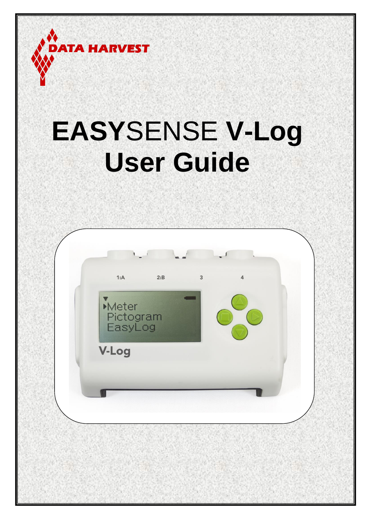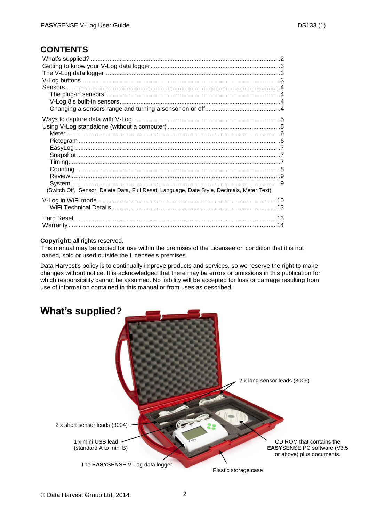## **CONTENTS**

| (Switch Off, Sensor, Delete Data, Full Reset, Language, Date Style, Decimals, Meter Text) |  |
|-------------------------------------------------------------------------------------------|--|
|                                                                                           |  |
|                                                                                           |  |
|                                                                                           |  |
|                                                                                           |  |

#### **Copyright**: all rights reserved.

This manual may be copied for use within the premises of the Licensee on condition that it is not loaned, sold or used outside the Licensee's premises.

Data Harvest's policy is to continually improve products and services, so we reserve the right to make changes without notice. It is acknowledged that there may be errors or omissions in this publication for which responsibility cannot be assumed. No liability will be accepted for loss or damage resulting from use of information contained in this manual or from uses as described.

<span id="page-1-0"></span>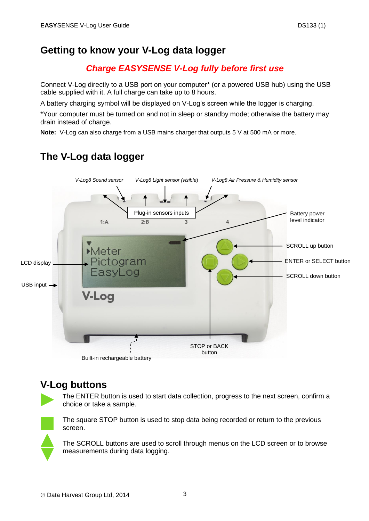## <span id="page-2-0"></span>**Getting to know your V-Log data logger**

## *Charge EASYSENSE V-Log fully before first use*

Connect V-Log directly to a USB port on your computer\* (or a powered USB hub) using the USB cable supplied with it. A full charge can take up to 8 hours.

A battery charging symbol will be displayed on V-Log's screen while the logger is charging.

\*Your computer must be turned on and not in sleep or standby mode; otherwise the battery may drain instead of charge.

**Note:** V-Log can also charge from a USB mains charger that outputs 5 V at 500 mA or more.

# <span id="page-2-1"></span>**The V-Log data logger**



## <span id="page-2-2"></span>**V-Log buttons**



The ENTER button is used to start data collection, progress to the next screen, confirm a choice or take a sample.



The square STOP button is used to stop data being recorded or return to the previous screen.

The SCROLL buttons are used to scroll through menus on the LCD screen or to browse measurements during data logging.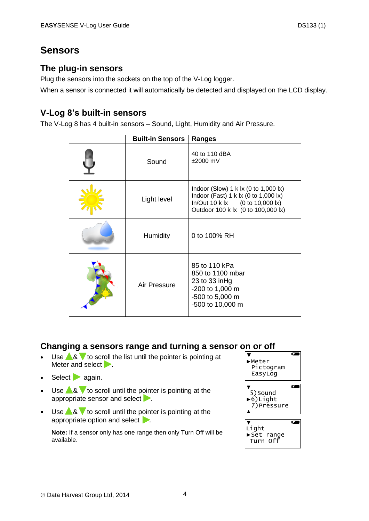## <span id="page-3-3"></span><span id="page-3-0"></span>**Sensors**

### <span id="page-3-1"></span>**The plug-in sensors**

Plug the sensors into the sockets on the top of the V-Log logger.

When a sensor is connected it will automatically be detected and displayed on the LCD display.

### <span id="page-3-2"></span>**V-Log 8's built-in sensors**

The V-Log 8 has 4 built-in sensors – Sound, Light, Humidity and Air Pressure.

|   | <b>Built-in Sensors</b> | <b>Ranges</b>                                                                                                                                         |  |
|---|-------------------------|-------------------------------------------------------------------------------------------------------------------------------------------------------|--|
|   | Sound                   | 40 to 110 dBA<br>$±2000$ mV                                                                                                                           |  |
| 道 | Light level             | Indoor (Slow) 1 k lx (0 to 1,000 lx)<br>Indoor (Fast) 1 k lx (0 to 1,000 lx)<br>In/Out 10 k lx (0 to 10,000 lx)<br>Outdoor 100 k lx (0 to 100,000 lx) |  |
|   | <b>Humidity</b>         | 0 to 100% RH                                                                                                                                          |  |
|   | Air Pressure            | 85 to 110 kPa<br>850 to 1100 mbar<br>23 to 33 in Hg<br>-200 to 1,000 m<br>-500 to 5,000 m<br>-500 to 10,000 m                                         |  |

## **Changing a sensors range and turning a sensor on or off**

- $\bullet$  Use  $\triangle$  &  $\blacktriangledown$  to scroll the list until the pointer is pointing at Meter and select  $\blacktriangleright$ .
- Select again.
- Use  $\triangle$  &  $\blacktriangledown$  to scroll until the pointer is pointing at the appropriate sensor and select **.**
- Use  $\triangle$ &  $\blacktriangledown$  to scroll until the pointer is pointing at the appropriate option and select .

**Note:** If a sensor only has one range then only Turn Off will be available.

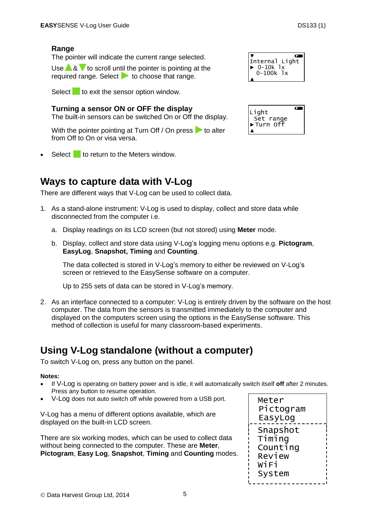#### **Range**

The pointer will indicate the current range selected.

Use  $\triangle$  &  $\blacktriangledown$  to scroll until the pointer is pointing at the required range. Select  $\blacktriangleright$  to choose that range.

Select to exit the sensor option window.

**Turning a sensor ON or OFF the display** 

The built-in sensors can be switched On or Off the display.

With the pointer pointing at Turn Off / On press  $\triangleright$  to alter from Off to On or visa versa.

Select to return to the Meters window.

# <span id="page-4-0"></span>**Ways to capture data with V-Log**

There are different ways that V-Log can be used to collect data.

- 1. As a stand-alone instrument: V-Log is used to display, collect and store data while disconnected from the computer i.e.
	- a. Display readings on its LCD screen (but not stored) using **Meter** mode.
	- b. Display, collect and store data using V-Log's logging menu options e.g. **Pictogram**, **EasyLog**, **Snapshot, Timing** and **Counting**.

The data collected is stored in V-Log's memory to either be reviewed on V-Log's screen or retrieved to the EasySense software on a computer.

Up to 255 sets of data can be stored in V-Log's memory.

2. As an interface connected to a computer: V-Log is entirely driven by the software on the host computer. The data from the sensors is transmitted immediately to the computer and displayed on the computers screen using the options in the EasySense software. This method of collection is useful for many classroom-based experiments.

# <span id="page-4-1"></span>**Using V-Log standalone (without a computer)**

To switch V-Log on, press any button on the panel.

#### **Notes:**

- If V-Log is operating on battery power and is idle, it will automatically switch itself **off** after 2 minutes. Press any button to resume operation.
- V-Log does not auto switch off while powered from a USB port.

V-Log has a menu of different options available, which are displayed on the built-in LCD screen.

There are six working modes, which can be used to collect data without being connected to the computer. These are **Meter**, **Pictogram**, **Easy Log**, **Snapshot**, **Timing** and **Counting** modes.



| Internal Light |
|----------------|
| $0-10k$<br>1x  |
| 0-100k         |
|                |

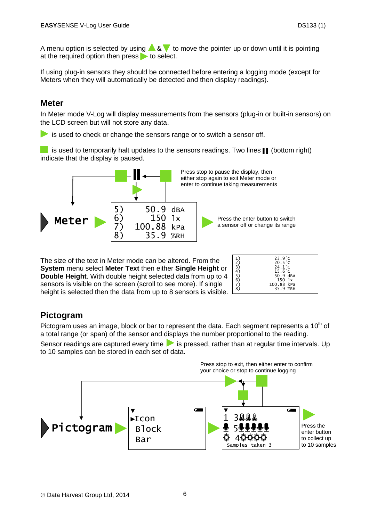A menu option is selected by using  $\triangle 8$   $\blacktriangledown$  to move the pointer up or down until it is pointing at the required option then press  $\bullet$  to select.

If using plug-in sensors they should be connected before entering a logging mode (except for Meters when they will automatically be detected and then display readings).

### <span id="page-5-0"></span>**Meter**

In Meter mode V-Log will display measurements from the sensors (plug-in or built-in sensors) on the LCD screen but will not store any data.

is used to check or change the sensors range or to switch a sensor off.

 is used to temporarily halt updates to the sensors readings. Two lines ▌▌ (bottom right) indicate that the display is paused.



The size of the text in Meter mode can be altered. From the **System** menu select **Meter Text** then either **Single Height** or **Double Height**. With double height selected data from up to 4 sensors is visible on the screen (scroll to see more). If single height is selected then the data from up to 8 sensors is visible.

| 1)<br>2)<br>3)<br>4)<br>5)<br>6)<br>$\begin{matrix} 7 \\ 8 \end{matrix}$ | $23.9^\circ C$<br>$20.5^{\circ}$ C<br>$24.1^{\circ}$ C<br>$15.6^\circ$ C<br>50.9 dBA<br>$150$ $1x$<br>100.88 kPa |
|--------------------------------------------------------------------------|------------------------------------------------------------------------------------------------------------------|
|                                                                          | 35.9 %RH                                                                                                         |
|                                                                          |                                                                                                                  |

Ļ.

## <span id="page-5-1"></span>**Pictogram**

Pictogram uses an image, block or bar to represent the data. Each segment represents a 10<sup>th</sup> of a total range (or span) of the sensor and displays the number proportional to the reading. Sensor readings are captured every time  $\blacktriangleright$  is pressed, rather than at regular time intervals. Up to 10 samples can be stored in each set of data.

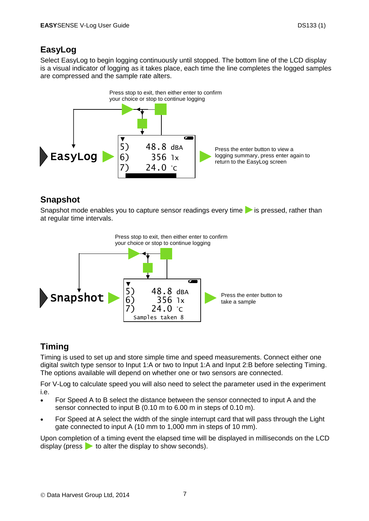## <span id="page-6-0"></span>**EasyLog**

Select EasyLog to begin logging continuously until stopped. The bottom line of the LCD display is a visual indicator of logging as it takes place, each time the line completes the logged samples are compressed and the sample rate alters.



## <span id="page-6-1"></span>**Snapshot**

Snapshot mode enables you to capture sensor readings every time  $\blacktriangleright$  is pressed, rather than at regular time intervals.



# <span id="page-6-2"></span>**Timing**

Timing is used to set up and store simple time and speed measurements. Connect either one digital switch type sensor to Input 1:A or two to Input 1:A and Input 2:B before selecting Timing. The options available will depend on whether one or two sensors are connected.

For V-Log to calculate speed you will also need to select the parameter used in the experiment i.e.

- For Speed A to B select the distance between the sensor connected to input A and the sensor connected to input B (0.10 m to 6.00 m in steps of 0.10 m).
- For Speed at A select the width of the single interrupt card that will pass through the Light gate connected to input A (10 mm to 1,000 mm in steps of 10 mm).

Upon completion of a timing event the elapsed time will be displayed in milliseconds on the LCD display (press  $\blacktriangleright$  to alter the display to show seconds).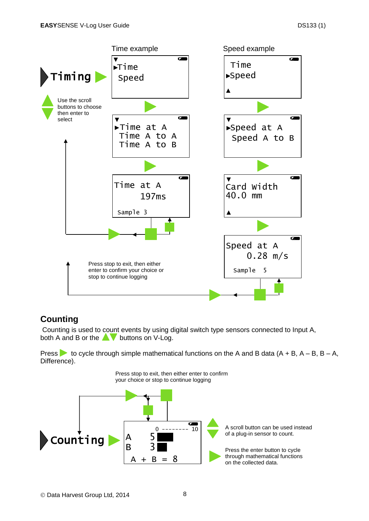

## <span id="page-7-0"></span>**Counting**

Counting is used to count events by using digital switch type sensors connected to Input A, both A and B or the  $\blacktriangle$  buttons on V-Log.

Press  $\triangleright$  to cycle through simple mathematical functions on the A and B data (A + B, A – B, B – A, Difference).

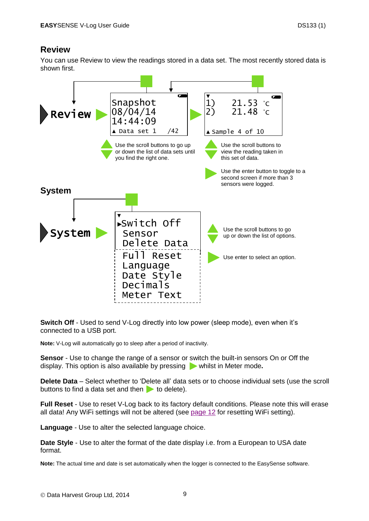### <span id="page-8-0"></span>**Review**

You can use Review to view the readings stored in a data set. The most recently stored data is shown first.

<span id="page-8-1"></span>

<span id="page-8-2"></span>**Switch Off** - Used to send V-Log directly into low power (sleep mode), even when it's connected to a USB port.

**Note:** V-Log will automatically go to sleep after a period of inactivity.

**Sensor** - Use to change the range of a sensor or switch the built-in sensors On or Off the display. This option is also available by pressing whilst in Meter mode.

<span id="page-8-3"></span>**Delete Data** – Select whether to 'Delete all' data sets or to choose individual sets (use the scroll buttons to find a data set and then  $\bullet$  to delete).

**Full Reset** - Use to reset V-Log back to its factory default conditions. Please note this will erase all data! Any WiFi settings will not be altered (see [page 12](#page-11-0) for resetting WiFi setting).

<span id="page-8-4"></span>**Language** - Use to alter the selected language choice.

<span id="page-8-5"></span>**Date Style** - Use to alter the format of the date display i.e. from a European to USA date format.

**Note:** The actual time and date is set automatically when the logger is connected to the EasySense software.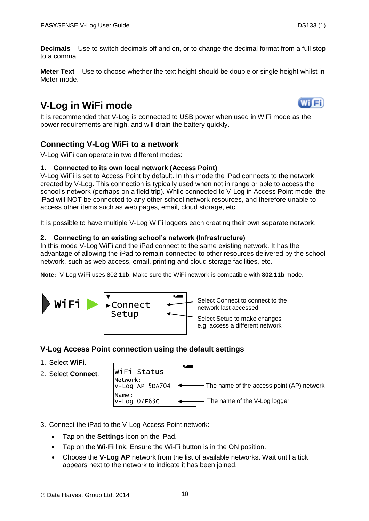<span id="page-9-0"></span>**Decimals** – Use to switch decimals off and on, or to change the decimal format from a full stop to a comma.

<span id="page-9-1"></span>**Meter Text** – Use to choose whether the text height should be double or single height whilst in Meter mode.

# <span id="page-9-2"></span>**V-Log in WiFi mode**



It is recommended that V-Log is connected to USB power when used in WiFi mode as the power requirements are high, and will drain the battery quickly.

### **Connecting V-Log WiFi to a network**

V-Log WiFi can operate in two different modes:

#### **1. Connected to its own local network (Access Point)**

V-Log WiFi is set to Access Point by default. In this mode the iPad connects to the network created by V-Log. This connection is typically used when not in range or able to access the school's network (perhaps on a field trip). While connected to V-Log in Access Point mode, the iPad will NOT be connected to any other school network resources, and therefore unable to access other items such as web pages, email, cloud storage, etc.

It is possible to have multiple V-Log WiFi loggers each creating their own separate network.

#### **2. Connecting to an existing school's network (Infrastructure)**

In this mode V-Log WiFi and the iPad connect to the same existing network. It has the advantage of allowing the iPad to remain connected to other resources delivered by the school network, such as web access, email, printing and cloud storage facilities, etc.

**Note:** V-Log WiFi uses 802.11b. Make sure the WiFi network is compatible with **802.11b** mode.



#### **V-Log Access Point connection using the default settings**

- 1. Select **WiFi**.
- 2. Select **Connect**.

| WiFi Status           |                                                                           |
|-----------------------|---------------------------------------------------------------------------|
| Network:              | $V$ -Log AP 5DA704 $\leftarrow$ The name of the access point (AP) network |
| Name:<br>V-Log 07F63C | - The name of the V-Log logger                                            |

- 3. Connect the iPad to the V-Log Access Point network:
	- Tap on the **Settings** icon on the iPad.
	- Tap on the **Wi-Fi** link. Ensure the Wi-Fi button is in the ON position.
	- Choose the **V-Log AP** network from the list of available networks. Wait until a tick appears next to the network to indicate it has been joined.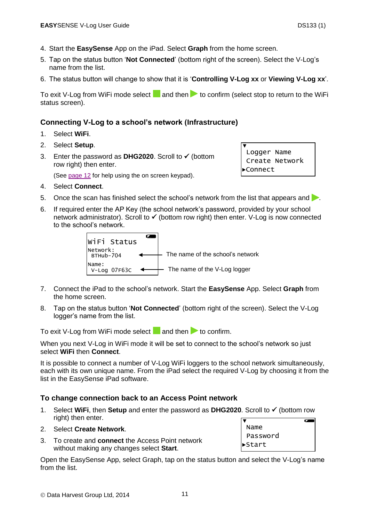- 4. Start the **EasySense** App on the iPad. Select **Graph** from the home screen.
- 5. Tap on the status button '**Not Connected**' (bottom right of the screen). Select the V-Log's name from the list.
- 6. The status button will change to show that it is '**Controlling V-Log xx** or **Viewing V-Log xx**'.

To exit V-Log from WiFi mode select and then to confirm (select stop to return to the WiFi status screen).

▼

٦

Logger Name Create Network

►Connect

#### **Connecting V-Log to a school's network (Infrastructure)**

- 1. Select **WiFi**.
- 2. Select **Setup**.
- 3. Enter the password as **DHG2020**. Scroll to (bottom row right) then enter.

(See [page 12](#page-11-0) for help using the on screen keypad).

- 4. Select **Connect**.
- 5. Once the scan has finished select the school's network from the list that appears and  $\blacktriangleright$ .
- 6. If required enter the AP Key (the school network's password, provided by your school network administrator). Scroll to  $\checkmark$  (bottom row right) then enter. V-Log is now connected to the school's network.

 $\overline{a}$ WiFi Status Network: - The name of the school's network BTHub-704 Name: V-Log 07F63C The name of the V-Log logger ◀

- 7. Connect the iPad to the school's network. Start the **EasySense** App. Select **Graph** from the home screen.
- 8. Tap on the status button '**Not Connected**' (bottom right of the screen). Select the V-Log logger's name from the list.

To exit V-Log from WiFi mode select and then to confirm.

When you next V-Log in WiFi mode it will be set to connect to the school's network so just select **WiFi** then **Connect**.

It is possible to connect a number of V-Log WiFi loggers to the school network simultaneously, each with its own unique name. From the iPad select the required V-Log by choosing it from the list in the EasySense iPad software.

#### **To change connection back to an Access Point network**

1. Select **WiFi**, then **Setup** and enter the password as **DHG2020**. Scroll to (bottom row right) then enter.  $\overline{a}$ ▼

#### 2. Select **Create Network**.

3. To create and **connect** the Access Point network without making any changes select **Start**.

Open the EasySense App, select Graph, tap on the status button and select the V-Log's name from the list. Γ

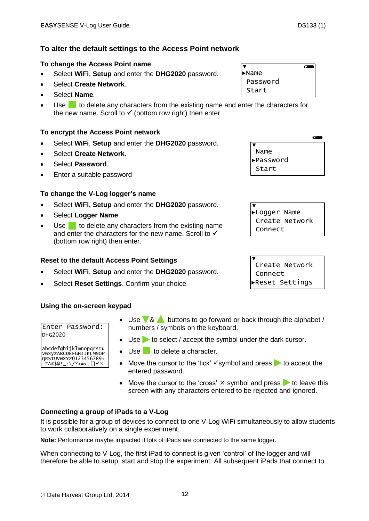## **To alter the default settings to the Access Point network**

### **To change the Access Point name**

- Select **WiFi**, **Setup** and enter the **DHG2020** password.
- Select **Create Network**.
- Select **Name**.
- Use to delete any characters from the existing name and enter the characters for the new name. Scroll to  $\checkmark$  (bottom row right) then enter. Ξ

## **To encrypt the Access Point network**

- Select **WiFi**, **Setup** and enter the **DHG2020** password.
- Select **Create Network**.
- Select **Password**.
- Enter a suitable password

### **To change the V-Log logger's name**

- Select **WiFi, Setup** and enter the **DHG2020** password.
- Select **Logger Name**.
- Use  $\blacksquare$  to delete any characters from the existing name and enter the characters for the new name. Scroll to  $\checkmark$ (bottom row right) then enter.

## **Reset to the default Access Point Settings**

- Select **WiFi**, **Setup** and enter the **DHG2020** password.
- Select **Reset Settings**. Confirm your choice

### **Using the on-screen keypad**

#### Enter Password: DHG2020

#### abcdefghijklmnopqrstu vwxyzABCDEFGHIJKLMNOP QRSTUVWXYZ0123456789+ -\*^%\$@!\_:\/?<=>.[]

- $\bullet$  Use  $\sqrt{8}$  buttons to go forward or back through the alphabet / numbers / symbols on the keyboard.
- $\bullet$  Use  $\bullet$  to select / accept the symbol under the dark cursor.
- $\bullet$  Use to delete a character.
- Move the cursor to the 'tick'  $\checkmark$  symbol and press  $\checkmark$  to accept the entered password.
- Move the cursor to the 'cross'  $\times$  symbol and press  $\triangleright$  to leave this screen with any characters entered to be rejected and ignored.

## <span id="page-11-0"></span>**Connecting a group of iPads to a V-Log**

It is possible for a group of devices to connect to one V-Log WiFi simultaneously to allow students to work collaboratively on a single experiment.

**Note:** Performance maybe impacted if lots of iPads are connected to the same logger.

When connecting to V-Log, the first iPad to connect is given 'control' of the logger and will therefore be able to setup, start and stop the experiment. All subsequent iPads that connect to

▼ ►Name Password Start

 $\overline{ }$ 

 $\overline{a}$ ▼ Name ►Password Start Ϊ

▼ ►Logger Name Create Network Connect Γ

▼ Create Network Connect ►Reset Settings

٦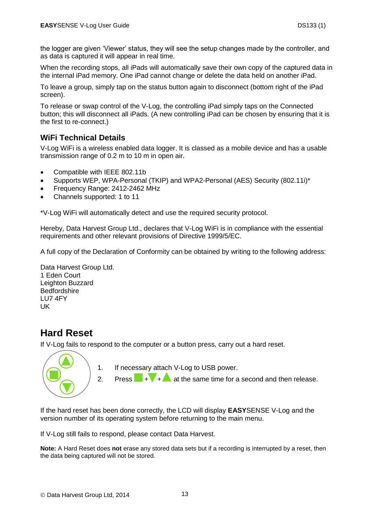the logger are given 'Viewer' status, they will see the setup changes made by the controller, and as data is captured it will appear in real time.

When the recording stops, all iPads will automatically save their own copy of the captured data in the internal iPad memory. One iPad cannot change or delete the data held on another iPad.

To leave a group, simply tap on the status button again to disconnect (bottom right of the iPad screen).

To release or swap control of the V-Log, the controlling iPad simply taps on the Connected button; this will disconnect all iPads. (A new controlling iPad can be chosen by ensuring that it is the first to re-connect.)

### <span id="page-12-0"></span>**WiFi Technical Details**

V-Log WiFi is a wireless enabled data logger. It is classed as a mobile device and has a usable transmission range of 0.2 m to 10 m in open air.

- Compatible with IEEE 802.11b
- Supports WEP, WPA-Personal (TKIP) and WPA2-Personal (AES) Security (802.11i)\*
- Frequency Range: 2412-2462 MHz
- Channels supported: 1 to 11

\*V-Log WiFi will automatically detect and use the required security protocol.

Hereby, Data Harvest Group Ltd., declares that V-Log WiFi is in compliance with the essential requirements and other relevant provisions of Directive 1999/5/EC.

A full copy of the Declaration of Conformity can be obtained by writing to the following address:

Data Harvest Group Ltd. 1 Eden Court Leighton Buzzard **Bedfordshire** LU7 4FY UK

## <span id="page-12-1"></span>**Hard Reset**

If V-Log fails to respond to the computer or a button press, carry out a hard reset.



1. If necessary attach V-Log to USB power.

2. Press  $+$  +  $+$  at the same time for a second and then release.

If the hard reset has been done correctly, the LCD will display **EASY**SENSE V-Log and the version number of its operating system before returning to the main menu.

If V-Log still fails to respond, please contact Data Harvest.

**Note:** A Hard Reset does **not** erase any stored data sets but if a recording is interrupted by a reset, then the data being captured will not be stored.